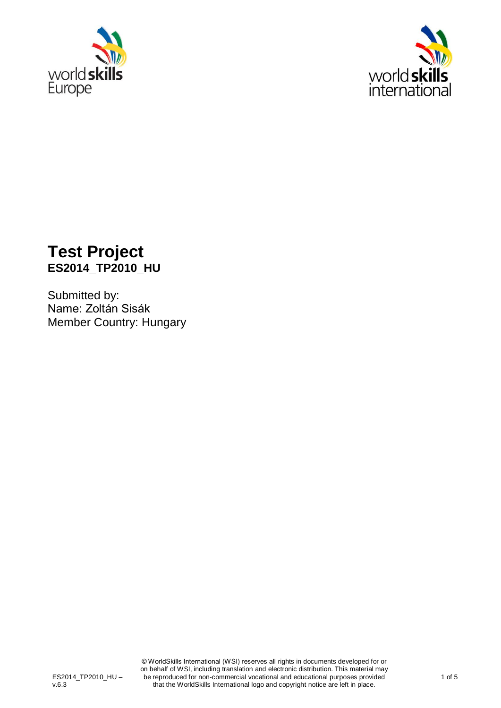



## **Test Project ES2014\_TP2010\_HU**

Submitted by: Name: Zoltán Sisák Member Country: Hungary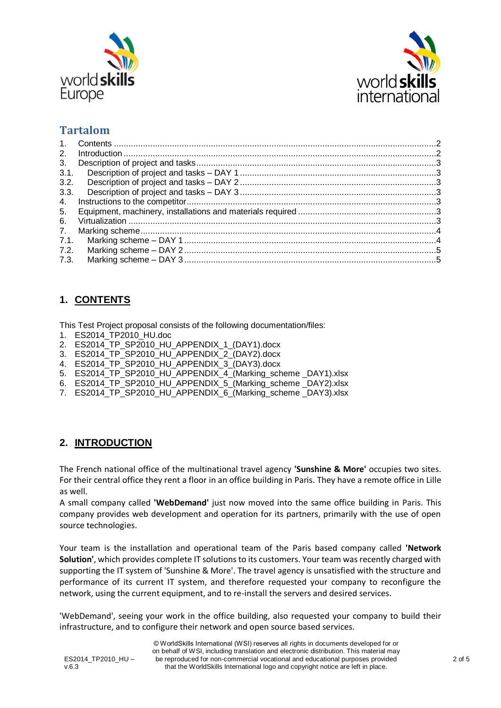



### **Tartalom**

| 2.             |  |
|----------------|--|
| 3 <sub>1</sub> |  |
| 3.1.           |  |
| 3.2.           |  |
| 3.3.           |  |
| 4.             |  |
| 5.             |  |
| 6.             |  |
| 7 <sub>1</sub> |  |
| 7.1.           |  |
| 7.2.           |  |
| 7.3.           |  |

#### <span id="page-1-0"></span>**1. CONTENTS**

This Test Project proposal consists of the following documentation/files:

- 1. ES2014\_TP2010\_HU.doc
- 2. ES2014\_TP\_SP2010\_HU\_APPENDIX\_1\_(DAY1).docx
- 3. ES2014\_TP\_SP2010\_HU\_APPENDIX\_2\_(DAY2).docx
- 4. ES2014\_TP\_SP2010\_HU\_APPENDIX\_3\_(DAY3).docx
- 5. ES2014\_TP\_SP2010\_HU\_APPENDIX\_4\_(Marking\_scheme \_DAY1).xlsx
- 6. ES2014\_TP\_SP2010\_HU\_APPENDIX\_5\_(Marking\_scheme \_DAY2).xlsx
- 7. ES2014\_TP\_SP2010\_HU\_APPENDIX\_6\_(Marking\_scheme \_DAY3).xlsx

#### <span id="page-1-1"></span>**2. INTRODUCTION**

The French national office of the multinational travel agency **'Sunshine & More'** occupies two sites. For their central office they rent a floor in an office building in Paris. They have a remote office in Lille as well.

A small company called **'WebDemand'** just now moved into the same office building in Paris. This company provides web development and operation for its partners, primarily with the use of open source technologies.

Your team is the installation and operational team of the Paris based company called **'Network Solution'**, which provides complete IT solutions to its customers. Your team was recently charged with supporting the IT system of 'Sunshine & More'. The travel agency is unsatisfied with the structure and performance of its current IT system, and therefore requested your company to reconfigure the network, using the current equipment, and to re-install the servers and desired services.

'WebDemand', seeing your work in the office building, also requested your company to build their infrastructure, and to configure their network and open source based services.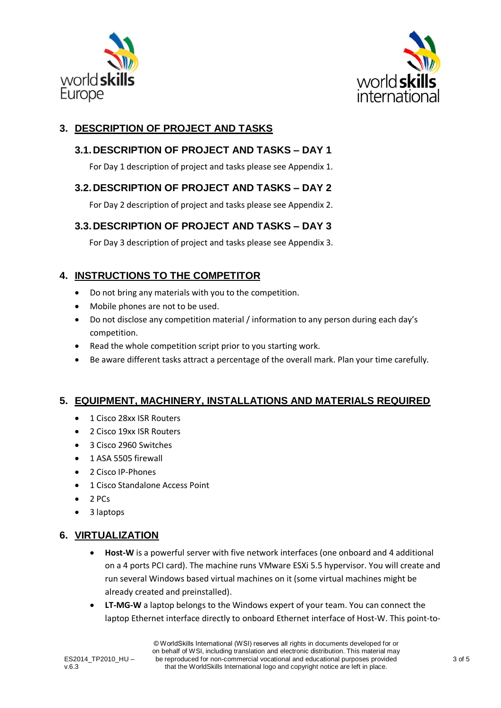



#### <span id="page-2-1"></span><span id="page-2-0"></span>**3. DESCRIPTION OF PROJECT AND TASKS**

#### **3.1.DESCRIPTION OF PROJECT AND TASKS – DAY 1**

For Day 1 description of project and tasks please see Appendix 1.

#### <span id="page-2-2"></span>**3.2.DESCRIPTION OF PROJECT AND TASKS – DAY 2**

For Day 2 description of project and tasks please see Appendix 2.

#### <span id="page-2-3"></span>**3.3.DESCRIPTION OF PROJECT AND TASKS – DAY 3**

For Day 3 description of project and tasks please see Appendix 3.

#### <span id="page-2-4"></span>**4. INSTRUCTIONS TO THE COMPETITOR**

- Do not bring any materials with you to the competition.
- Mobile phones are not to be used.
- Do not disclose any competition material / information to any person during each day's competition.
- Read the whole competition script prior to you starting work.
- Be aware different tasks attract a percentage of the overall mark. Plan your time carefully.

#### <span id="page-2-5"></span>**5. EQUIPMENT, MACHINERY, INSTALLATIONS AND MATERIALS REQUIRED**

- 1 Cisco 28xx ISR Routers
- 2 Cisco 19xx ISR Routers
- 3 Cisco 2960 Switches
- $\bullet$  1 ASA 5505 firewall
- 2 Cisco IP-Phones
- 1 Cisco Standalone Access Point
- 2 PCs
- 3 laptops

#### <span id="page-2-6"></span>**6. VIRTUALIZATION**

- **Host-W** is a powerful server with five network interfaces (one onboard and 4 additional on a 4 ports PCI card). The machine runs VMware ESXi 5.5 hypervisor. You will create and run several Windows based virtual machines on it (some virtual machines might be already created and preinstalled).
- **LT-MG-W** a laptop belongs to the Windows expert of your team. You can connect the laptop Ethernet interface directly to onboard Ethernet interface of Host-W. This point-to-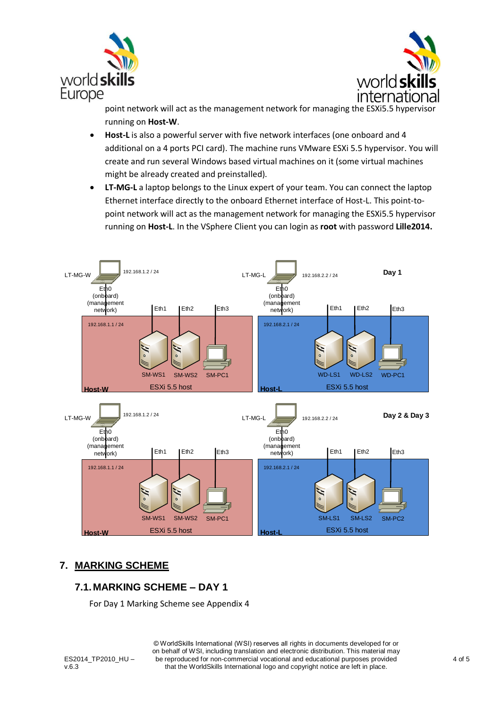



point network will act as the management network for managing the ESXi5.5 hypervisor running on **Host-W**.

- **Host-L** is also a powerful server with five network interfaces (one onboard and 4 additional on a 4 ports PCI card). The machine runs VMware ESXi 5.5 hypervisor. You will create and run several Windows based virtual machines on it (some virtual machines might be already created and preinstalled).
- **LT-MG-L** a laptop belongs to the Linux expert of your team. You can connect the laptop Ethernet interface directly to the onboard Ethernet interface of Host-L. This point-topoint network will act as the management network for managing the ESXi5.5 hypervisor running on **Host-L**. In the VSphere Client you can login as **root** with password **Lille2014.**



#### <span id="page-3-0"></span>**7. MARKING SCHEME**

#### <span id="page-3-1"></span>**7.1.MARKING SCHEME – DAY 1**

For Day 1 Marking Scheme see Appendix 4

ES2014 TP2010 HU – v.6.3

© WorldSkills International (WSI) reserves all rights in documents developed for or on behalf of WSI, including translation and electronic distribution. This material may be reproduced for non-commercial vocational and educational purposes provided that the WorldSkills International logo and copyright notice are left in place.